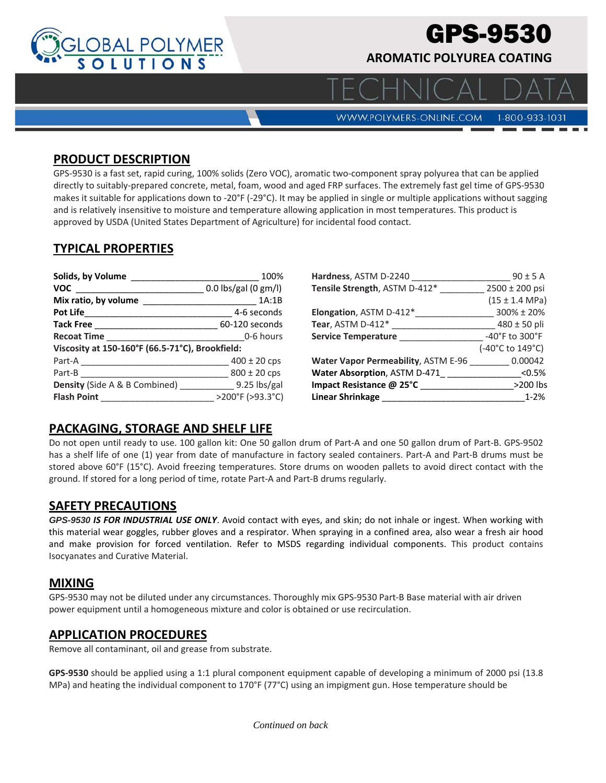

# GPS-9530

**AROMATIC POLYUREA COATING**

**WWW.POLYMERS-ONLINE.COM** 

#### 1-800-933-1031

#### **PRODUCT DESCRIPTION**

GPS‐9530 is a fast set, rapid curing, 100% solids (Zero VOC), aromatic two‐component spray polyurea that can be applied directly to suitably‐prepared concrete, metal, foam, wood and aged FRP surfaces. The extremely fast gel time of GPS‐9530 makes it suitable for applications down to -20°F (-29°C). It may be applied in single or multiple applications without sagging and is relatively insensitive to moisture and temperature allowing application in most temperatures. This product is approved by USDA (United States Department of Agriculture) for incidental food contact.

## **TYPICAL PROPERTIES**

| Solids, by Volume                               | 100%                 | Hardness, ASTM D-2240                                 | $90 \pm 5$ A                       |
|-------------------------------------------------|----------------------|-------------------------------------------------------|------------------------------------|
| <b>VOC</b>                                      | 0.0 lbs/gal (0 gm/l) | Tensile Strength, ASTM D-412*                         | $2500 \pm 200$ psi                 |
| Mix ratio, by volume                            | 1A:1B                |                                                       | $(15 \pm 1.4 \text{ MPa})$         |
| <b>Pot Life Section Pot</b>                     | 4-6 seconds          | Elongation, ASTM D-412*                               | $300\% \pm 20\%$                   |
| <b>Tack Free</b>                                | 60-120 seconds       | Tear, ASTM D-412*                                     | $480 \pm 50$ pli                   |
| <b>Recoat Time</b>                              | 0-6 hours            | <b>Service Temperature</b>                            | $-40^{\circ}$ F to $300^{\circ}$ F |
| Viscosity at 150-160°F (66.5-71°C), Brookfield: |                      |                                                       | (-40°C to 149°C)                   |
| Part-A                                          | $400 \pm 20$ cps     | Water Vapor Permeability, ASTM E-96 _________ 0.00042 |                                    |
| Part-B                                          | $800 \pm 20$ cps     | <b>Water Absorption, ASTM D-471</b>                   | < 0.5%                             |
| <b>Density</b> (Side A & B Combined)            | $9.25$ lbs/gal       | Impact Resistance @ 25°C                              | >200 lbs                           |
| <b>Flash Point</b>                              | >200°F (>93.3°C)     | Linear Shrinkage                                      | $1 - 2%$                           |

#### **PACKAGING, STORAGE AND SHELF LIFE**

Do not open until ready to use. 100 gallon kit: One 50 gallon drum of Part‐A and one 50 gallon drum of Part‐B. GPS‐9502 has a shelf life of one (1) year from date of manufacture in factory sealed containers. Part-A and Part-B drums must be stored above 60°F (15°C). Avoid freezing temperatures. Store drums on wooden pallets to avoid direct contact with the ground. If stored for a long period of time, rotate Part‐A and Part‐B drums regularly.

#### **SAFETY PRECAUTIONS**

*GPS-9530 IS FOR INDUSTRIAL USE ONLY*. Avoid contact with eyes, and skin; do not inhale or ingest. When working with this material wear goggles, rubber gloves and a respirator. When spraying in a confined area, also wear a fresh air hood and make provision for forced ventilation. Refer to MSDS regarding individual components. This product contains Isocyanates and Curative Material.

#### **MIXING**

GPS‐9530 may not be diluted under any circumstances. Thoroughly mix GPS‐9530 Part‐B Base material with air driven power equipment until a homogeneous mixture and color is obtained or use recirculation.

#### **APPLICATION PROCEDURES**

Remove all contaminant, oil and grease from substrate.

**GPS‐9530** should be applied using a 1:1 plural component equipment capable of developing a minimum of 2000 psi (13.8 MPa) and heating the individual component to 170°F (77°C) using an impigment gun. Hose temperature should be